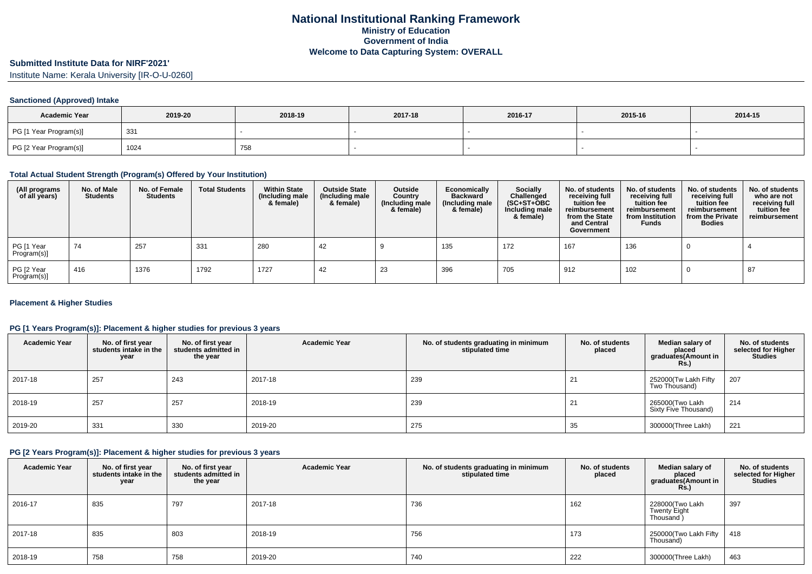## **Submitted Institute Data for NIRF'2021'**

Institute Name: Kerala University [IR-O-U-0260]

#### **Sanctioned (Approved) Intake**

| <b>Academic Year</b>   | 2019-20 | 2018-19 | 2017-18 | 2016-17 | 2015-16 | 2014-15 |
|------------------------|---------|---------|---------|---------|---------|---------|
| PG [1 Year Program(s)] | 331     |         |         |         |         |         |
| PG [2 Year Program(s)] | 1024    | 758     |         |         |         |         |

#### **Total Actual Student Strength (Program(s) Offered by Your Institution)**

| (All programs<br>of all years) | No. of Male<br><b>Students</b> | No. of Female<br><b>Students</b> | <b>Total Students</b> | <b>Within State</b><br>(Including male<br>& female) | <b>Outside State</b><br>(Including male<br>& female) | Outside<br>Country<br>(Including male<br>& female) | Economically<br><b>Backward</b><br>(Including male<br>& female) | <b>Socially</b><br>Challenged<br>$(SC+ST+OBC)$<br>Including male<br>& female) | No. of students<br>receiving full<br>tuition fee<br>reimbursement<br>from the State<br>and Central<br>Government | No. of students<br>receiving full<br>tuition fee<br>reimbursement<br>from Institution<br><b>Funds</b> | No. of students<br>receiving full<br>tuition fee<br>reimbursement<br>from the Private<br><b>Bodies</b> | No. of students<br>who are not<br>receiving full<br>tuition fee<br>reimbursement |
|--------------------------------|--------------------------------|----------------------------------|-----------------------|-----------------------------------------------------|------------------------------------------------------|----------------------------------------------------|-----------------------------------------------------------------|-------------------------------------------------------------------------------|------------------------------------------------------------------------------------------------------------------|-------------------------------------------------------------------------------------------------------|--------------------------------------------------------------------------------------------------------|----------------------------------------------------------------------------------|
| PG [1 Year<br>Program(s)]      | 74                             | 257                              | 331                   | 280                                                 | 42                                                   |                                                    | 135                                                             | 172                                                                           | 167                                                                                                              | 136                                                                                                   |                                                                                                        |                                                                                  |
| PG [2 Year<br>Program(s)]      | 416                            | 1376                             | 1792                  | 1727                                                | 42                                                   | 23                                                 | 396                                                             | 705                                                                           | 912                                                                                                              | 102                                                                                                   |                                                                                                        | 87                                                                               |

#### **Placement & Higher Studies**

#### **PG [1 Years Program(s)]: Placement & higher studies for previous 3 years**

| <b>Academic Year</b> | No. of first year<br>students intake in the<br>year | No. of first year<br>students admitted in<br>the year | <b>Academic Year</b> | No. of students graduating in minimum<br>stipulated time | No. of students<br>placed | Median salary of<br>placed<br>graduates(Amount in<br>Rs.) | No. of students<br>selected for Higher<br><b>Studies</b> |
|----------------------|-----------------------------------------------------|-------------------------------------------------------|----------------------|----------------------------------------------------------|---------------------------|-----------------------------------------------------------|----------------------------------------------------------|
| 2017-18              | 257                                                 | 243                                                   | 2017-18              | 239                                                      | $2^{\prime}$              | 252000(Tw Lakh Fifty<br>Two Thousand)                     | 207                                                      |
| 2018-19              | 257                                                 | 257                                                   | 2018-19              | 239                                                      | 21                        | 265000(Two Lakh<br>Sixty Five Thousand)                   | 214                                                      |
| 2019-20              | 331                                                 | 330                                                   | 2019-20              | 275                                                      | 35                        | 300000(Three Lakh)                                        | 221                                                      |

#### **PG [2 Years Program(s)]: Placement & higher studies for previous 3 years**

| <b>Academic Year</b> | No. of first year<br>students intake in the<br>year | No. of first vear<br>students admitted in<br>the year | <b>Academic Year</b> | No. of students graduating in minimum<br>stipulated time | No. of students<br>placed | Median salary of<br>placed<br>graduates(Amount in<br><b>Rs.</b> ) | No. of students<br>selected for Higher<br><b>Studies</b> |
|----------------------|-----------------------------------------------------|-------------------------------------------------------|----------------------|----------------------------------------------------------|---------------------------|-------------------------------------------------------------------|----------------------------------------------------------|
| 2016-17              | 835                                                 | 797                                                   | 2017-18              | 736                                                      | 162                       | 228000(Two Lakh<br><b>Twenty Eight</b><br>Thousand)               | 397                                                      |
| 2017-18              | 835                                                 | 803                                                   | 2018-19              | 756                                                      | 173                       | 250000 (Two Lakh Fifty   418<br>Thousand)                         |                                                          |
| 2018-19              | 758                                                 | 758                                                   | 2019-20              | 740                                                      | 222                       | 300000(Three Lakh)                                                | 463                                                      |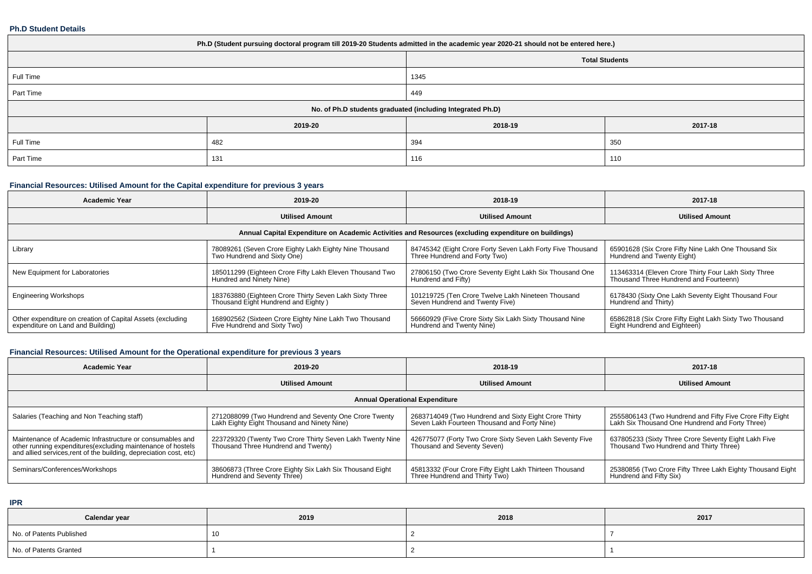#### **Ph.D Student Details**

| Ph.D (Student pursuing doctoral program till 2019-20 Students admitted in the academic year 2020-21 should not be entered here.) |         |         |                       |  |  |
|----------------------------------------------------------------------------------------------------------------------------------|---------|---------|-----------------------|--|--|
|                                                                                                                                  |         |         | <b>Total Students</b> |  |  |
| Full Time                                                                                                                        |         | 1345    |                       |  |  |
| Part Time                                                                                                                        |         | 449     |                       |  |  |
| No. of Ph.D students graduated (including Integrated Ph.D)                                                                       |         |         |                       |  |  |
|                                                                                                                                  | 2019-20 | 2018-19 | 2017-18               |  |  |
| Full Time                                                                                                                        | 482     | 394     | 350                   |  |  |
| Part Time                                                                                                                        | 131     | 116     | 110                   |  |  |

# **Financial Resources: Utilised Amount for the Capital expenditure for previous 3 years**

| <b>Academic Year</b>                                                                                 | 2019-20                                                                                        | 2018-19                                                                                     | 2017-18                                                                                        |  |  |  |
|------------------------------------------------------------------------------------------------------|------------------------------------------------------------------------------------------------|---------------------------------------------------------------------------------------------|------------------------------------------------------------------------------------------------|--|--|--|
|                                                                                                      | <b>Utilised Amount</b>                                                                         | <b>Utilised Amount</b>                                                                      | <b>Utilised Amount</b>                                                                         |  |  |  |
| Annual Capital Expenditure on Academic Activities and Resources (excluding expenditure on buildings) |                                                                                                |                                                                                             |                                                                                                |  |  |  |
| Library                                                                                              | 78089261 (Seven Crore Eighty Lakh Eighty Nine Thousand<br>Two Hundrend and Sixty One)          | 84745342 (Eight Crore Forty Seven Lakh Forty Five Thousand<br>Three Hundrend and Forty Two) | 65901628 (Six Crore Fifty Nine Lakh One Thousand Six<br>Hundrend and Twenty Eight)             |  |  |  |
| New Equipment for Laboratories                                                                       | 185011299 (Eighteen Crore Fifty Lakh Eleven Thousand Two<br>Hundred and Ninety Nine)           | 27806150 (Two Crore Seventy Eight Lakh Six Thousand One<br>Hundrend and Fifty)              | 113463314 (Eleven Crore Thirty Four Lakh Sixty Three<br>Thousand Three Hundrend and Fourteenn) |  |  |  |
| <b>Engineering Workshops</b>                                                                         | 183763880 (Eighteen Crore Thirty Seven Lakh Sixty Three<br>Thousand Eight Hundrend and Eighty) | 101219725 (Ten Crore Twelve Lakh Nineteen Thousand<br>Seven Hundrend and Twenty Five)       | 6178430 (Sixty One Lakh Seventy Eight Thousand Four<br>Hundrend and Thirty)                    |  |  |  |
| Other expenditure on creation of Capital Assets (excluding<br>expenditure on Land and Building)      | 168902562 (Sixteen Crore Eighty Nine Lakh Two Thousand<br>Five Hundrend and Sixty Two)         | 56660929 (Five Crore Sixty Six Lakh Sixty Thousand Nine<br>Hundrend and Twenty Nine)        | 65862818 (Six Crore Fifty Eight Lakh Sixty Two Thousand<br>Eight Hundrend and Eighteen)        |  |  |  |

# **Financial Resources: Utilised Amount for the Operational expenditure for previous 3 years**

| <b>Academic Year</b>                                                                                                                                                                            | 2019-20                                                                                              | 2018-19                                                                                               | 2017-18                                                                                                      |  |  |
|-------------------------------------------------------------------------------------------------------------------------------------------------------------------------------------------------|------------------------------------------------------------------------------------------------------|-------------------------------------------------------------------------------------------------------|--------------------------------------------------------------------------------------------------------------|--|--|
|                                                                                                                                                                                                 | <b>Utilised Amount</b>                                                                               | <b>Utilised Amount</b>                                                                                | <b>Utilised Amount</b>                                                                                       |  |  |
| <b>Annual Operational Expenditure</b>                                                                                                                                                           |                                                                                                      |                                                                                                       |                                                                                                              |  |  |
| Salaries (Teaching and Non Teaching staff)                                                                                                                                                      | 2712088099 (Two Hundrend and Seventy One Crore Twenty<br>Lakh Eighty Eight Thousand and Ninety Nine) | 2683714049 (Two Hundrend and Sixty Eight Crore Thirty<br>Seven Lakh Fourteen Thousand and Forty Nine) | 2555806143 (Two Hundrend and Fifty Five Crore Fifty Eight<br>Lakh Six Thousand One Hundrend and Forty Three) |  |  |
| Maintenance of Academic Infrastructure or consumables and<br>other running expenditures (excluding maintenance of hostels<br>and allied services, rent of the building, depreciation cost, etc) | 223729320 (Twenty Two Crore Thirty Seven Lakh Twenty Nine<br>Thousand Three Hundrend and Twenty)     | 426775077 (Forty Two Crore Sixty Seven Lakh Seventy Five<br>Thousand and Seventy Seven)               | 637805233 (Sixty Three Crore Seventy Eight Lakh Five<br>Thousand Two Hundrend and Thirty Three)              |  |  |
| Seminars/Conferences/Workshops                                                                                                                                                                  | 38606873 (Three Crore Eighty Six Lakh Six Thousand Eight<br>Hundrend and Seventy Three)              | 45813332 (Four Crore Fifty Eight Lakh Thirteen Thousand<br>Three Hundrend and Thirty Two)             | 25380856 (Two Crore Fifty Three Lakh Eighty Thousand Eight  <br>Hundrend and Fifty Six)                      |  |  |

**IPR**

| Calendar year            | 2019 | 2018 | 2017 |
|--------------------------|------|------|------|
| No. of Patents Published |      |      |      |
| No. of Patents Granted   |      |      |      |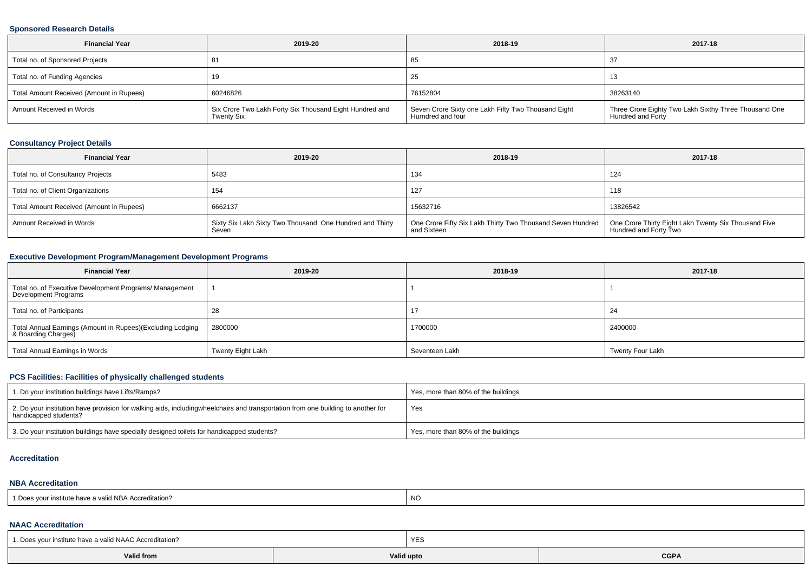#### **Sponsored Research Details**

| <b>Financial Year</b>                    | 2019-20                                                                      | 2018-19                                                                  | 2017-18                                                                    |
|------------------------------------------|------------------------------------------------------------------------------|--------------------------------------------------------------------------|----------------------------------------------------------------------------|
| Total no. of Sponsored Projects          | -81                                                                          | 85                                                                       |                                                                            |
| Total no. of Funding Agencies            |                                                                              | 25                                                                       | $\sim$<br>ں ا                                                              |
| Total Amount Received (Amount in Rupees) | 60246826                                                                     | 76152804                                                                 | 38263140                                                                   |
| Amount Received in Words                 | Six Crore Two Lakh Forty Six Thousand Eight Hundred and<br><b>Twenty Six</b> | Seven Crore Sixty one Lakh Fifty Two Thousand Eight<br>Hurndred and four | Three Crore Eighty Two Lakh Sixthy Three Thousand One<br>Hundred and Forty |

## **Consultancy Project Details**

| <b>Financial Year</b>                    | 2019-20                                                           | 2018-19                                                                   | 2017-18                                                                       |
|------------------------------------------|-------------------------------------------------------------------|---------------------------------------------------------------------------|-------------------------------------------------------------------------------|
| Total no. of Consultancy Projects        | 5483                                                              | 134                                                                       | 124                                                                           |
| Total no. of Client Organizations        | 154                                                               | 127                                                                       | 118                                                                           |
| Total Amount Received (Amount in Rupees) | 6662137                                                           | 15632716                                                                  | 13826542                                                                      |
| Amount Received in Words                 | Sixty Six Lakh Sixty Two Thousand One Hundred and Thirty<br>Seven | One Crore Fifty Six Lakh Thirty Two Thousand Seven Hundred<br>and Sixteen | One Crore Thirty Eight Lakh Twenty Six Thousand Five<br>Hundred and Forty Two |

# **Executive Development Program/Management Development Programs**

| <b>Financial Year</b>                                                             | 2019-20           | 2018-19        | 2017-18          |
|-----------------------------------------------------------------------------------|-------------------|----------------|------------------|
| Total no. of Executive Development Programs/ Management<br>Development Programs   |                   |                |                  |
| Total no. of Participants                                                         | 28                |                | 24               |
| Total Annual Earnings (Amount in Rupees)(Excluding Lodging<br>& Boarding Charges) | 2800000           | 1700000        | 2400000          |
| Total Annual Earnings in Words                                                    | Twenty Eight Lakh | Seventeen Lakh | Twenty Four Lakh |

#### **PCS Facilities: Facilities of physically challenged students**

| 1. Do your institution buildings have Lifts/Ramps?                                                                                                        | Yes, more than 80% of the buildings |
|-----------------------------------------------------------------------------------------------------------------------------------------------------------|-------------------------------------|
| 2. Do your institution have provision for walking aids, includingwheelchairs and transportation from one building to another for<br>handicapped students? | Yes                                 |
| 3. Do your institution buildings have specially designed toilets for handicapped students?                                                                | Yes, more than 80% of the buildings |

#### **Accreditation**

#### **NBA Accreditation**

| <br>e have a valid NBA Accreditation?<br>ः vour institute<br>. ש <i>ט</i> | <b>NO</b> |
|---------------------------------------------------------------------------|-----------|
|---------------------------------------------------------------------------|-----------|

#### **NAAC Accreditation**

| 1. Does your institute have a valid NAAC Accreditation?       | <b>YES</b> |             |
|---------------------------------------------------------------|------------|-------------|
| Valid from<br>the contract of the contract of the contract of | Valid upto | <b>CGPA</b> |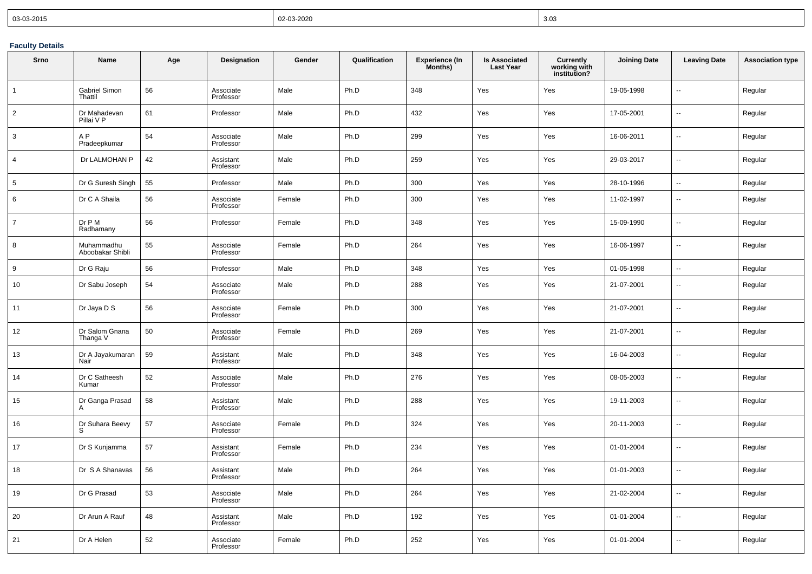| $  03-03-2015$ | 02-03-2020 | 3.03 |
|----------------|------------|------|
|----------------|------------|------|

## **Faculty Details**

| <b>Srno</b>    | Name                           | Age | Designation            | Gender | Qualification | <b>Experience (In</b><br>Months) | <b>Is Associated</b><br><b>Last Year</b> | Currently<br>working with<br>institution? | <b>Joining Date</b> | <b>Leaving Date</b>      | <b>Association type</b> |
|----------------|--------------------------------|-----|------------------------|--------|---------------|----------------------------------|------------------------------------------|-------------------------------------------|---------------------|--------------------------|-------------------------|
| $\overline{1}$ | Gabriel Simon<br>Thattil       | 56  | Associate<br>Professor | Male   | Ph.D          | 348                              | Yes                                      | Yes                                       | 19-05-1998          | Ξ.                       | Regular                 |
| $\overline{2}$ | Dr Mahadevan<br>Pillai V P     | 61  | Professor              | Male   | Ph.D          | 432                              | Yes                                      | Yes                                       | 17-05-2001          | Ξ.                       | Regular                 |
| 3              | A <sub>P</sub><br>Pradeepkumar | 54  | Associate<br>Professor | Male   | Ph.D          | 299                              | Yes                                      | Yes                                       | 16-06-2011          | Ξ.                       | Regular                 |
| $\overline{4}$ | Dr LALMOHAN P                  | 42  | Assistant<br>Professor | Male   | Ph.D          | 259                              | Yes                                      | Yes                                       | 29-03-2017          |                          | Regular                 |
| 5              | Dr G Suresh Singh              | 55  | Professor              | Male   | Ph.D          | 300                              | Yes                                      | Yes                                       | 28-10-1996          | $\ddotsc$                | Regular                 |
| 6              | Dr C A Shaila                  | 56  | Associate<br>Professor | Female | Ph.D          | 300                              | Yes                                      | Yes                                       | 11-02-1997          | $\overline{a}$           | Regular                 |
| $\overline{7}$ | Dr P M<br>Radhamany            | 56  | Professor              | Female | Ph.D          | 348                              | Yes                                      | Yes                                       | 15-09-1990          | u.                       | Regular                 |
| 8              | Muhammadhu<br>Aboobakar Shibli | 55  | Associate<br>Professor | Female | Ph.D          | 264                              | Yes                                      | Yes                                       | 16-06-1997          | --                       | Regular                 |
| 9              | Dr G Raju                      | 56  | Professor              | Male   | Ph.D          | 348                              | Yes                                      | Yes                                       | 01-05-1998          | Ξ.                       | Regular                 |
| 10             | Dr Sabu Joseph                 | 54  | Associate<br>Professor | Male   | Ph.D          | 288                              | Yes                                      | Yes                                       | 21-07-2001          | Ξ.                       | Regular                 |
| 11             | Dr Jaya D S                    | 56  | Associate<br>Professor | Female | Ph.D          | 300                              | Yes                                      | Yes                                       | 21-07-2001          | ä.                       | Regular                 |
| 12             | Dr Salom Gnana<br>Thanga V     | 50  | Associate<br>Professor | Female | Ph.D          | 269                              | Yes                                      | Yes                                       | 21-07-2001          | Ξ.                       | Regular                 |
| 13             | Dr A Jayakumaran<br>Nair       | 59  | Assistant<br>Professor | Male   | Ph.D          | 348                              | Yes                                      | Yes                                       | 16-04-2003          | Ξ.                       | Regular                 |
| 14             | Dr C Satheesh<br>Kumar         | 52  | Associate<br>Professor | Male   | Ph.D          | 276                              | Yes                                      | Yes                                       | 08-05-2003          | Ξ.                       | Regular                 |
| 15             | Dr Ganga Prasad<br>A           | 58  | Assistant<br>Professor | Male   | Ph.D          | 288                              | Yes                                      | Yes                                       | 19-11-2003          | $\overline{\phantom{a}}$ | Regular                 |
| 16             | Dr Suhara Beevy<br>S           | 57  | Associate<br>Professor | Female | Ph.D          | 324                              | Yes                                      | Yes                                       | 20-11-2003          | Ξ.                       | Regular                 |
| 17             | Dr S Kunjamma                  | 57  | Assistant<br>Professor | Female | Ph.D          | 234                              | Yes                                      | Yes                                       | 01-01-2004          | Ξ.                       | Regular                 |
| 18             | Dr S A Shanavas                | 56  | Assistant<br>Professor | Male   | Ph.D          | 264                              | Yes                                      | Yes                                       | 01-01-2003          | ц.                       | Regular                 |
| 19             | Dr G Prasad                    | 53  | Associate<br>Professor | Male   | Ph.D          | 264                              | Yes                                      | Yes                                       | 21-02-2004          | Ξ.                       | Regular                 |
| 20             | Dr Arun A Rauf                 | 48  | Assistant<br>Professor | Male   | Ph.D          | 192                              | Yes                                      | Yes                                       | 01-01-2004          | Ξ.                       | Regular                 |
| 21             | Dr A Helen                     | 52  | Associate<br>Professor | Female | Ph.D          | 252                              | Yes                                      | Yes                                       | 01-01-2004          | Ξ.                       | Regular                 |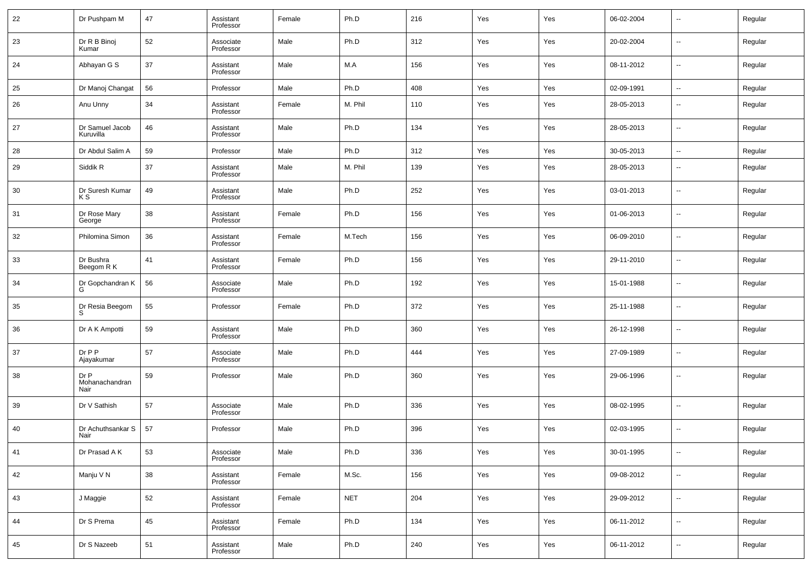| 22 | Dr Pushpam M                   | 47 | Assistant<br>Professor | Female | Ph.D       | 216 | Yes | Yes | 06-02-2004 | --                       | Regular |
|----|--------------------------------|----|------------------------|--------|------------|-----|-----|-----|------------|--------------------------|---------|
| 23 | Dr R B Binoj<br>Kumar          | 52 | Associate<br>Professor | Male   | Ph.D       | 312 | Yes | Yes | 20-02-2004 | --                       | Regular |
| 24 | Abhayan G S                    | 37 | Assistant<br>Professor | Male   | M.A        | 156 | Yes | Yes | 08-11-2012 | ш,                       | Regular |
| 25 | Dr Manoj Changat               | 56 | Professor              | Male   | Ph.D       | 408 | Yes | Yes | 02-09-1991 | ш,                       | Regular |
| 26 | Anu Unny                       | 34 | Assistant<br>Professor | Female | M. Phil    | 110 | Yes | Yes | 28-05-2013 | $\sim$                   | Regular |
| 27 | Dr Samuel Jacob<br>Kuruvilla   | 46 | Assistant<br>Professor | Male   | Ph.D       | 134 | Yes | Yes | 28-05-2013 | ш,                       | Regular |
| 28 | Dr Abdul Salim A               | 59 | Professor              | Male   | Ph.D       | 312 | Yes | Yes | 30-05-2013 | $\overline{\phantom{a}}$ | Regular |
| 29 | Siddik R                       | 37 | Assistant<br>Professor | Male   | M. Phil    | 139 | Yes | Yes | 28-05-2013 | --                       | Regular |
| 30 | Dr Suresh Kumar<br>K S         | 49 | Assistant<br>Professor | Male   | Ph.D       | 252 | Yes | Yes | 03-01-2013 | н.                       | Regular |
| 31 | Dr Rose Mary<br>George         | 38 | Assistant<br>Professor | Female | Ph.D       | 156 | Yes | Yes | 01-06-2013 | н.                       | Regular |
| 32 | Philomina Simon                | 36 | Assistant<br>Professor | Female | M.Tech     | 156 | Yes | Yes | 06-09-2010 | --                       | Regular |
| 33 | Dr Bushra<br>Beegom R K        | 41 | Assistant<br>Professor | Female | Ph.D       | 156 | Yes | Yes | 29-11-2010 | н.                       | Regular |
| 34 | Dr Gopchandran K<br>G          | 56 | Associate<br>Professor | Male   | Ph.D       | 192 | Yes | Yes | 15-01-1988 | --                       | Regular |
| 35 | Dr Resia Beegom<br>s           | 55 | Professor              | Female | Ph.D       | 372 | Yes | Yes | 25-11-1988 | --                       | Regular |
| 36 | Dr A K Ampotti                 | 59 | Assistant<br>Professor | Male   | Ph.D       | 360 | Yes | Yes | 26-12-1998 | н.                       | Regular |
| 37 | Dr P P<br>Ajayakumar           | 57 | Associate<br>Professor | Male   | Ph.D       | 444 | Yes | Yes | 27-09-1989 | --                       | Regular |
| 38 | Dr P<br>Mohanachandran<br>Nair | 59 | Professor              | Male   | Ph.D       | 360 | Yes | Yes | 29-06-1996 | --                       | Regular |
| 39 | Dr V Sathish                   | 57 | Associate<br>Professor | Male   | Ph.D       | 336 | Yes | Yes | 08-02-1995 | --                       | Regular |
| 40 | Dr Achuthsankar S<br>Nair      | 57 | Professor              | Male   | Ph.D       | 396 | Yes | Yes | 02-03-1995 | --                       | Regular |
| 41 | Dr Prasad A K                  | 53 | Associate<br>Professor | Male   | Ph.D       | 336 | Yes | Yes | 30-01-1995 | $\sim$                   | Regular |
| 42 | Manju V N                      | 38 | Assistant<br>Professor | Female | M.Sc.      | 156 | Yes | Yes | 09-08-2012 | $\overline{\phantom{a}}$ | Regular |
| 43 | J Maggie                       | 52 | Assistant<br>Professor | Female | <b>NET</b> | 204 | Yes | Yes | 29-09-2012 | $\sim$                   | Regular |
| 44 | Dr S Prema                     | 45 | Assistant<br>Professor | Female | Ph.D       | 134 | Yes | Yes | 06-11-2012 | $\overline{\phantom{a}}$ | Regular |
| 45 | Dr S Nazeeb                    | 51 | Assistant<br>Professor | Male   | Ph.D       | 240 | Yes | Yes | 06-11-2012 | $\sim$                   | Regular |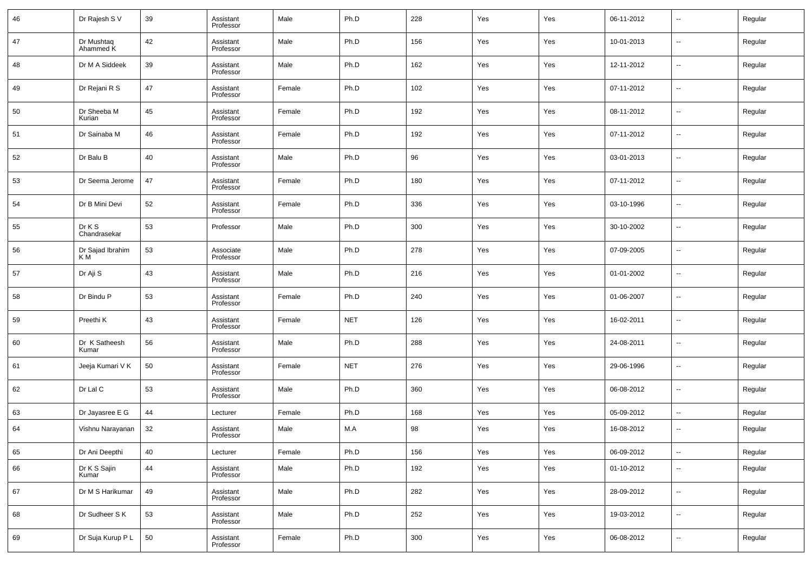| 46 | Dr Rajesh S V           | 39 | Assistant<br>Professor | Male   | Ph.D       | 228     | Yes | Yes | 06-11-2012 | $\overline{\phantom{a}}$ | Regular |
|----|-------------------------|----|------------------------|--------|------------|---------|-----|-----|------------|--------------------------|---------|
| 47 | Dr Mushtaq<br>Ahammed K | 42 | Assistant<br>Professor | Male   | Ph.D       | 156     | Yes | Yes | 10-01-2013 | $\overline{\phantom{a}}$ | Regular |
| 48 | Dr M A Siddeek          | 39 | Assistant<br>Professor | Male   | Ph.D       | 162     | Yes | Yes | 12-11-2012 | $\overline{\phantom{a}}$ | Regular |
| 49 | Dr Rejani R S           | 47 | Assistant<br>Professor | Female | Ph.D       | 102     | Yes | Yes | 07-11-2012 | $\overline{\phantom{a}}$ | Regular |
| 50 | Dr Sheeba M<br>Kurian   | 45 | Assistant<br>Professor | Female | Ph.D       | 192     | Yes | Yes | 08-11-2012 | $\overline{\phantom{a}}$ | Regular |
| 51 | Dr Sainaba M            | 46 | Assistant<br>Professor | Female | Ph.D       | 192     | Yes | Yes | 07-11-2012 | $\overline{\phantom{a}}$ | Regular |
| 52 | Dr Balu B               | 40 | Assistant<br>Professor | Male   | Ph.D       | 96      | Yes | Yes | 03-01-2013 | $\overline{\phantom{a}}$ | Regular |
| 53 | Dr Seema Jerome         | 47 | Assistant<br>Professor | Female | Ph.D       | 180     | Yes | Yes | 07-11-2012 | $\overline{\phantom{a}}$ | Regular |
| 54 | Dr B Mini Devi          | 52 | Assistant<br>Professor | Female | Ph.D       | 336     | Yes | Yes | 03-10-1996 | $\overline{\phantom{a}}$ | Regular |
| 55 | Dr K S<br>Chandrasekar  | 53 | Professor              | Male   | Ph.D       | 300     | Yes | Yes | 30-10-2002 | $\overline{\phantom{a}}$ | Regular |
| 56 | Dr Sajad Ibrahim<br>КM  | 53 | Associate<br>Professor | Male   | Ph.D       | 278     | Yes | Yes | 07-09-2005 | $\overline{\phantom{a}}$ | Regular |
| 57 | Dr Aji S                | 43 | Assistant<br>Professor | Male   | Ph.D       | 216     | Yes | Yes | 01-01-2002 | $\overline{\phantom{a}}$ | Regular |
| 58 | Dr Bindu P              | 53 | Assistant<br>Professor | Female | Ph.D       | 240     | Yes | Yes | 01-06-2007 | $\overline{\phantom{a}}$ | Regular |
| 59 | Preethi K               | 43 | Assistant<br>Professor | Female | <b>NET</b> | 126     | Yes | Yes | 16-02-2011 | $\overline{\phantom{a}}$ | Regular |
| 60 | Dr K Satheesh<br>Kumar  | 56 | Assistant<br>Professor | Male   | Ph.D       | 288     | Yes | Yes | 24-08-2011 | $\overline{\phantom{a}}$ | Regular |
| 61 | Jeeja Kumari V K        | 50 | Assistant<br>Professor | Female | <b>NET</b> | 276     | Yes | Yes | 29-06-1996 | $\overline{\phantom{a}}$ | Regular |
| 62 | Dr Lal C                | 53 | Assistant<br>Professor | Male   | Ph.D       | 360     | Yes | Yes | 06-08-2012 | $\overline{\phantom{a}}$ | Regular |
| 63 | Dr Jayasree E G         | 44 | Lecturer               | Female | Ph.D       | 168     | Yes | Yes | 05-09-2012 | $\overline{\phantom{a}}$ | Regular |
| 64 | Vishnu Narayanan        | 32 | Assistant<br>Professor | Male   | M.A        | 98      | Yes | Yes | 16-08-2012 | $\overline{\phantom{a}}$ | Regular |
| 65 | Dr Ani Deepthi          | 40 | Lecturer               | Female | Ph.D       | 156     | Yes | Yes | 06-09-2012 | $\overline{\phantom{a}}$ | Regular |
| 66 | Dr K S Sajin<br>Kumar   | 44 | Assistant<br>Professor | Male   | Ph.D       | 192     | Yes | Yes | 01-10-2012 | $\sim$                   | Regular |
| 67 | Dr M S Harikumar        | 49 | Assistant<br>Professor | Male   | Ph.D       | 282     | Yes | Yes | 28-09-2012 | $\sim$                   | Regular |
| 68 | Dr Sudheer S K          | 53 | Assistant<br>Professor | Male   | Ph.D       | 252     | Yes | Yes | 19-03-2012 | $\sim$                   | Regular |
| 69 | Dr Suja Kurup P L       | 50 | Assistant<br>Professor | Female | Ph.D       | $300\,$ | Yes | Yes | 06-08-2012 | ۰.                       | Regular |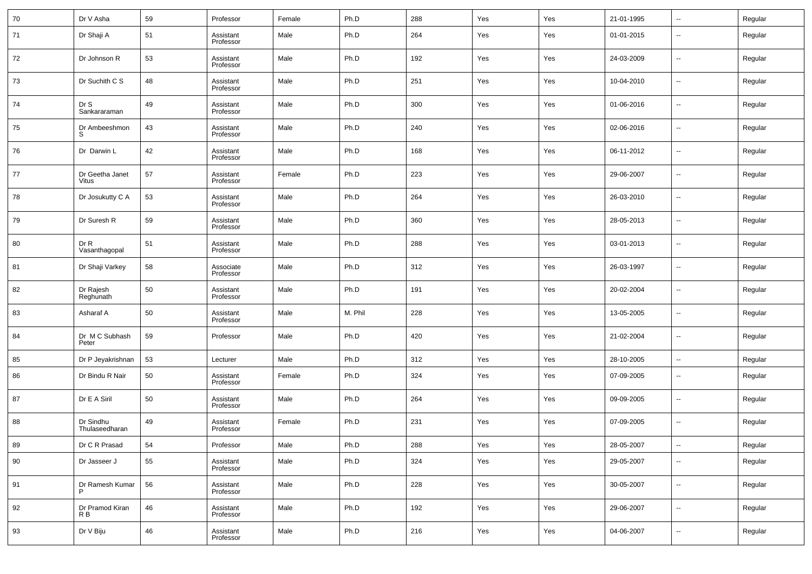| 70 | Dr V Asha                   | 59 | Professor              | Female | Ph.D    | 288 | Yes | Yes | 21-01-1995 | $\overline{\phantom{a}}$     | Regular |
|----|-----------------------------|----|------------------------|--------|---------|-----|-----|-----|------------|------------------------------|---------|
| 71 | Dr Shaji A                  | 51 | Assistant<br>Professor | Male   | Ph.D    | 264 | Yes | Yes | 01-01-2015 | $\overline{\phantom{a}}$     | Regular |
| 72 | Dr Johnson R                | 53 | Assistant<br>Professor | Male   | Ph.D    | 192 | Yes | Yes | 24-03-2009 | $\overline{\phantom{a}}$     | Regular |
| 73 | Dr Suchith C S              | 48 | Assistant<br>Professor | Male   | Ph.D    | 251 | Yes | Yes | 10-04-2010 | $\overline{\phantom{a}}$     | Regular |
| 74 | Dr S<br>Sankararaman        | 49 | Assistant<br>Professor | Male   | Ph.D    | 300 | Yes | Yes | 01-06-2016 | $\overline{\phantom{a}}$     | Regular |
| 75 | Dr Ambeeshmon<br>S          | 43 | Assistant<br>Professor | Male   | Ph.D    | 240 | Yes | Yes | 02-06-2016 | $\overline{\phantom{a}}$     | Regular |
| 76 | Dr Darwin L                 | 42 | Assistant<br>Professor | Male   | Ph.D    | 168 | Yes | Yes | 06-11-2012 | $\overline{\phantom{a}}$     | Regular |
| 77 | Dr Geetha Janet<br>Vitus    | 57 | Assistant<br>Professor | Female | Ph.D    | 223 | Yes | Yes | 29-06-2007 | $\overline{\phantom{a}}$     | Regular |
| 78 | Dr Josukutty C A            | 53 | Assistant<br>Professor | Male   | Ph.D    | 264 | Yes | Yes | 26-03-2010 | $\overline{\phantom{a}}$     | Regular |
| 79 | Dr Suresh R                 | 59 | Assistant<br>Professor | Male   | Ph.D    | 360 | Yes | Yes | 28-05-2013 | $\overline{\phantom{a}}$     | Regular |
| 80 | Dr R<br>Vasanthagopal       | 51 | Assistant<br>Professor | Male   | Ph.D    | 288 | Yes | Yes | 03-01-2013 | $\overline{\phantom{a}}$     | Regular |
| 81 | Dr Shaji Varkey             | 58 | Associate<br>Professor | Male   | Ph.D    | 312 | Yes | Yes | 26-03-1997 | $\overline{\phantom{a}}$     | Regular |
| 82 | Dr Rajesh<br>Reghunath      | 50 | Assistant<br>Professor | Male   | Ph.D    | 191 | Yes | Yes | 20-02-2004 | $\overline{\phantom{a}}$     | Regular |
| 83 | Asharaf A                   | 50 | Assistant<br>Professor | Male   | M. Phil | 228 | Yes | Yes | 13-05-2005 | $\overline{\phantom{a}}$     | Regular |
| 84 | Dr M C Subhash<br>Peter     | 59 | Professor              | Male   | Ph.D    | 420 | Yes | Yes | 21-02-2004 | $\overline{\phantom{a}}$     | Regular |
| 85 | Dr P Jeyakrishnan           | 53 | Lecturer               | Male   | Ph.D    | 312 | Yes | Yes | 28-10-2005 | $\overline{\phantom{a}}$     | Regular |
| 86 | Dr Bindu R Nair             | 50 | Assistant<br>Professor | Female | Ph.D    | 324 | Yes | Yes | 07-09-2005 | $\overline{\phantom{a}}$     | Regular |
| 87 | Dr E A Siril                | 50 | Assistant<br>Professor | Male   | Ph.D    | 264 | Yes | Yes | 09-09-2005 | $\overline{\phantom{a}}$     | Regular |
| 88 | Dr Sindhu<br>Thulaseedharan | 49 | Assistant<br>Professor | Female | Ph.D    | 231 | Yes | Yes | 07-09-2005 | $\overline{\phantom{a}}$     | Regular |
| 89 | Dr C R Prasad               | 54 | Professor              | Male   | Ph.D    | 288 | Yes | Yes | 28-05-2007 | $\qquad \qquad \blacksquare$ | Regular |
| 90 | Dr Jasseer J                | 55 | Assistant<br>Professor | Male   | Ph.D    | 324 | Yes | Yes | 29-05-2007 | $\overline{\phantom{a}}$     | Regular |
| 91 | Dr Ramesh Kumar<br>P        | 56 | Assistant<br>Professor | Male   | Ph.D    | 228 | Yes | Yes | 30-05-2007 | $\overline{\phantom{a}}$     | Regular |
| 92 | Dr Pramod Kiran<br>R B      | 46 | Assistant<br>Professor | Male   | Ph.D    | 192 | Yes | Yes | 29-06-2007 | $\overline{\phantom{a}}$     | Regular |
| 93 | Dr V Biju                   | 46 | Assistant<br>Professor | Male   | Ph.D    | 216 | Yes | Yes | 04-06-2007 | $\overline{\phantom{a}}$     | Regular |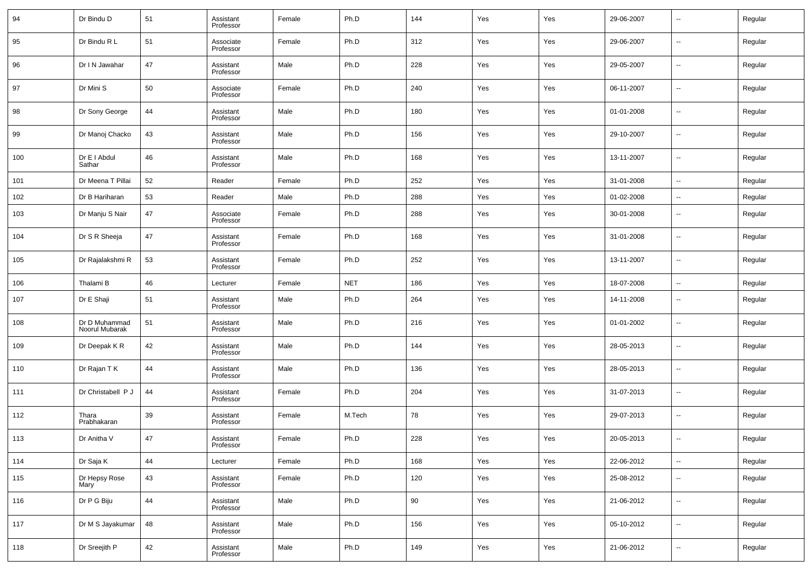| 94  | Dr Bindu D                      | 51 | Assistant<br>Professor | Female | Ph.D       | 144 | Yes | Yes | 29-06-2007 | $\overline{\phantom{a}}$ | Regular |
|-----|---------------------------------|----|------------------------|--------|------------|-----|-----|-----|------------|--------------------------|---------|
| 95  | Dr Bindu R L                    | 51 | Associate<br>Professor | Female | Ph.D       | 312 | Yes | Yes | 29-06-2007 | $\overline{\phantom{a}}$ | Regular |
| 96  | Dr I N Jawahar                  | 47 | Assistant<br>Professor | Male   | Ph.D       | 228 | Yes | Yes | 29-05-2007 | $\overline{\phantom{a}}$ | Regular |
| 97  | Dr Mini S                       | 50 | Associate<br>Professor | Female | Ph.D       | 240 | Yes | Yes | 06-11-2007 | $\overline{\phantom{a}}$ | Regular |
| 98  | Dr Sony George                  | 44 | Assistant<br>Professor | Male   | Ph.D       | 180 | Yes | Yes | 01-01-2008 | $\overline{\phantom{a}}$ | Regular |
| 99  | Dr Manoj Chacko                 | 43 | Assistant<br>Professor | Male   | Ph.D       | 156 | Yes | Yes | 29-10-2007 | $\overline{\phantom{a}}$ | Regular |
| 100 | Dr E I Abdul<br>Sathar          | 46 | Assistant<br>Professor | Male   | Ph.D       | 168 | Yes | Yes | 13-11-2007 | $\overline{\phantom{a}}$ | Regular |
| 101 | Dr Meena T Pillai               | 52 | Reader                 | Female | Ph.D       | 252 | Yes | Yes | 31-01-2008 | $\sim$                   | Regular |
| 102 | Dr B Hariharan                  | 53 | Reader                 | Male   | Ph.D       | 288 | Yes | Yes | 01-02-2008 | $\sim$                   | Regular |
| 103 | Dr Manju S Nair                 | 47 | Associate<br>Professor | Female | Ph.D       | 288 | Yes | Yes | 30-01-2008 | $\overline{\phantom{a}}$ | Regular |
| 104 | Dr S R Sheeja                   | 47 | Assistant<br>Professor | Female | Ph.D       | 168 | Yes | Yes | 31-01-2008 | $\overline{\phantom{a}}$ | Regular |
| 105 | Dr Rajalakshmi R                | 53 | Assistant<br>Professor | Female | Ph.D       | 252 | Yes | Yes | 13-11-2007 | $\overline{\phantom{a}}$ | Regular |
| 106 | Thalami B                       | 46 | Lecturer               | Female | <b>NET</b> | 186 | Yes | Yes | 18-07-2008 | $\ddotsc$                | Regular |
| 107 | Dr E Shaji                      | 51 | Assistant<br>Professor | Male   | Ph.D       | 264 | Yes | Yes | 14-11-2008 | $\overline{\phantom{a}}$ | Regular |
| 108 | Dr D Muhammad<br>Noorul Mubarak | 51 | Assistant<br>Professor | Male   | Ph.D       | 216 | Yes | Yes | 01-01-2002 | $\overline{\phantom{a}}$ | Regular |
| 109 | Dr Deepak K R                   | 42 | Assistant<br>Professor | Male   | Ph.D       | 144 | Yes | Yes | 28-05-2013 | $\overline{\phantom{a}}$ | Regular |
| 110 | Dr Rajan T K                    | 44 | Assistant<br>Professor | Male   | Ph.D       | 136 | Yes | Yes | 28-05-2013 | $\overline{\phantom{a}}$ | Regular |
| 111 | Dr Christabell P J              | 44 | Assistant<br>Professor | Female | Ph.D       | 204 | Yes | Yes | 31-07-2013 | $\overline{\phantom{a}}$ | Regular |
| 112 | Thara<br>Prabhakaran            | 39 | Assistant<br>Professor | Female | M.Tech     | 78  | Yes | Yes | 29-07-2013 | $\overline{\phantom{a}}$ | Regular |
| 113 | Dr Anitha V                     | 47 | Assistant<br>Professor | Female | Ph.D       | 228 | Yes | Yes | 20-05-2013 | $\overline{\phantom{a}}$ | Regular |
| 114 | Dr Saja K                       | 44 | Lecturer               | Female | Ph.D       | 168 | Yes | Yes | 22-06-2012 | $\sim$                   | Regular |
| 115 | Dr Hepsy Rose<br>Mary           | 43 | Assistant<br>Professor | Female | Ph.D       | 120 | Yes | Yes | 25-08-2012 | $\sim$                   | Regular |
| 116 | Dr P G Biju                     | 44 | Assistant<br>Professor | Male   | Ph.D       | 90  | Yes | Yes | 21-06-2012 | $\sim$                   | Regular |
| 117 | Dr M S Jayakumar                | 48 | Assistant<br>Professor | Male   | Ph.D       | 156 | Yes | Yes | 05-10-2012 | $\sim$                   | Regular |
| 118 | Dr Sreejith P                   | 42 | Assistant<br>Professor | Male   | Ph.D       | 149 | Yes | Yes | 21-06-2012 | $\overline{\phantom{a}}$ | Regular |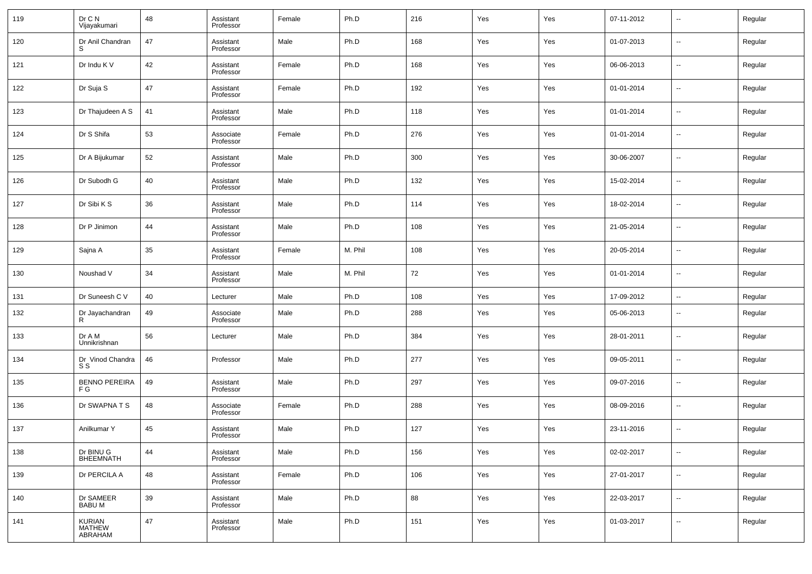| 119 | Dr C N<br>Vijayakumari             | 48 | Assistant<br>Professor | Female | Ph.D    | 216 | Yes | Yes | 07-11-2012 | $\overline{\phantom{a}}$ | Regular |
|-----|------------------------------------|----|------------------------|--------|---------|-----|-----|-----|------------|--------------------------|---------|
| 120 | Dr Anil Chandran                   | 47 | Assistant<br>Professor | Male   | Ph.D    | 168 | Yes | Yes | 01-07-2013 | $\sim$                   | Regular |
| 121 | Dr Indu K V                        | 42 | Assistant<br>Professor | Female | Ph.D    | 168 | Yes | Yes | 06-06-2013 | $\sim$                   | Regular |
| 122 | Dr Suja S                          | 47 | Assistant<br>Professor | Female | Ph.D    | 192 | Yes | Yes | 01-01-2014 | $\overline{\phantom{a}}$ | Regular |
| 123 | Dr Thajudeen A S                   | 41 | Assistant<br>Professor | Male   | Ph.D    | 118 | Yes | Yes | 01-01-2014 | $\sim$                   | Regular |
| 124 | Dr S Shifa                         | 53 | Associate<br>Professor | Female | Ph.D    | 276 | Yes | Yes | 01-01-2014 | $\overline{\phantom{a}}$ | Regular |
| 125 | Dr A Bijukumar                     | 52 | Assistant<br>Professor | Male   | Ph.D    | 300 | Yes | Yes | 30-06-2007 | $\overline{\phantom{a}}$ | Regular |
| 126 | Dr Subodh G                        | 40 | Assistant<br>Professor | Male   | Ph.D    | 132 | Yes | Yes | 15-02-2014 | ⊶.                       | Regular |
| 127 | Dr Sibi K S                        | 36 | Assistant<br>Professor | Male   | Ph.D    | 114 | Yes | Yes | 18-02-2014 | $\overline{\phantom{a}}$ | Regular |
| 128 | Dr P Jinimon                       | 44 | Assistant<br>Professor | Male   | Ph.D    | 108 | Yes | Yes | 21-05-2014 | $\sim$                   | Regular |
| 129 | Sajna A                            | 35 | Assistant<br>Professor | Female | M. Phil | 108 | Yes | Yes | 20-05-2014 | $\overline{\phantom{a}}$ | Regular |
| 130 | Noushad V                          | 34 | Assistant<br>Professor | Male   | M. Phil | 72  | Yes | Yes | 01-01-2014 | ⊶.                       | Regular |
| 131 | Dr Suneesh C V                     | 40 | Lecturer               | Male   | Ph.D    | 108 | Yes | Yes | 17-09-2012 | $\overline{\phantom{a}}$ | Regular |
| 132 | Dr Jayachandran<br>R               | 49 | Associate<br>Professor | Male   | Ph.D    | 288 | Yes | Yes | 05-06-2013 | $\overline{\phantom{a}}$ | Regular |
| 133 | Dr A M<br>Unnikrishnan             | 56 | Lecturer               | Male   | Ph.D    | 384 | Yes | Yes | 28-01-2011 | $\overline{\phantom{a}}$ | Regular |
| 134 | Dr Vinod Chandra<br>S S            | 46 | Professor              | Male   | Ph.D    | 277 | Yes | Yes | 09-05-2011 | $\overline{\phantom{a}}$ | Regular |
| 135 | <b>BENNO PEREIRA</b><br>F G        | 49 | Assistant<br>Professor | Male   | Ph.D    | 297 | Yes | Yes | 09-07-2016 | $\overline{\phantom{a}}$ | Regular |
| 136 | Dr SWAPNA T S                      | 48 | Associate<br>Professor | Female | Ph.D    | 288 | Yes | Yes | 08-09-2016 | --                       | Regular |
| 137 | Anilkumar Y                        | 45 | Assistant<br>Professor | Male   | Ph.D    | 127 | Yes | Yes | 23-11-2016 | $\overline{\phantom{a}}$ | Regular |
| 138 | Dr BINU G<br>BHEEMNATH             | 44 | Assistant<br>Professor | Male   | Ph.D    | 156 | Yes | Yes | 02-02-2017 | $\overline{\phantom{a}}$ | Regular |
| 139 | Dr PERCILA A                       | 48 | Assistant<br>Professor | Female | Ph.D    | 106 | Yes | Yes | 27-01-2017 | $\sim$                   | Regular |
| 140 | Dr SAMEER<br><b>BABUM</b>          | 39 | Assistant<br>Professor | Male   | Ph.D    | 88  | Yes | Yes | 22-03-2017 | $\sim$                   | Regular |
| 141 | KURIAN<br><b>MATHEW</b><br>ABRAHAM | 47 | Assistant<br>Professor | Male   | Ph.D    | 151 | Yes | Yes | 01-03-2017 | $\sim$                   | Regular |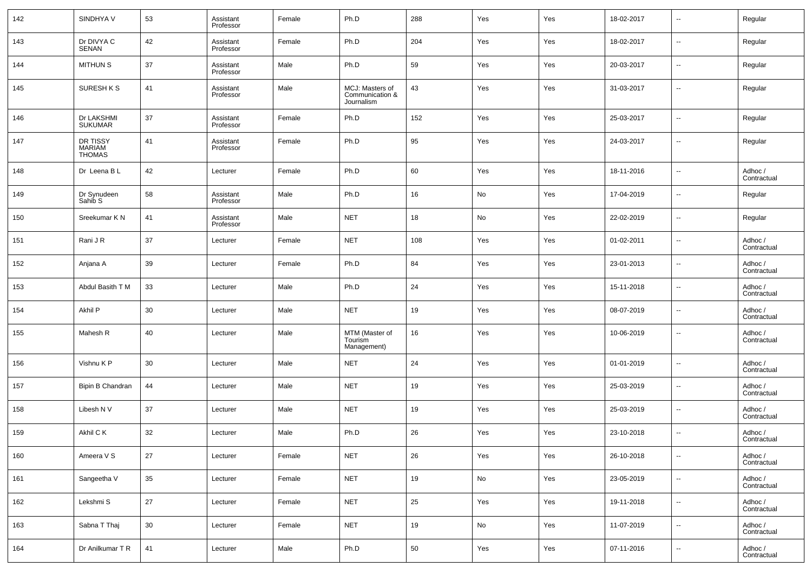| 142 | SINDHYA V                                  | 53 | Assistant<br>Professor | Female | Ph.D                                             | 288 | Yes | Yes | 18-02-2017 | $\sim$                   | Regular                |
|-----|--------------------------------------------|----|------------------------|--------|--------------------------------------------------|-----|-----|-----|------------|--------------------------|------------------------|
| 143 | Dr DIVYA C<br>SENAN                        | 42 | Assistant<br>Professor | Female | Ph.D                                             | 204 | Yes | Yes | 18-02-2017 | $\overline{\phantom{a}}$ | Regular                |
| 144 | <b>MITHUN S</b>                            | 37 | Assistant<br>Professor | Male   | Ph.D                                             | 59  | Yes | Yes | 20-03-2017 | $\overline{\phantom{a}}$ | Regular                |
| 145 | SURESH K S                                 | 41 | Assistant<br>Professor | Male   | MCJ: Masters of<br>Communication &<br>Journalism | 43  | Yes | Yes | 31-03-2017 | $\overline{\phantom{a}}$ | Regular                |
| 146 | Dr LAKSHMI<br><b>SUKUMAR</b>               | 37 | Assistant<br>Professor | Female | Ph.D                                             | 152 | Yes | Yes | 25-03-2017 | $\overline{\phantom{a}}$ | Regular                |
| 147 | DR TISSY<br><b>MARIAM</b><br><b>THOMAS</b> | 41 | Assistant<br>Professor | Female | Ph.D                                             | 95  | Yes | Yes | 24-03-2017 | $\sim$                   | Regular                |
| 148 | Dr Leena B L                               | 42 | Lecturer               | Female | Ph.D                                             | 60  | Yes | Yes | 18-11-2016 | $\overline{\phantom{a}}$ | Adhoc /<br>Contractual |
| 149 | Dr Synudeen<br>Sahib S                     | 58 | Assistant<br>Professor | Male   | Ph.D                                             | 16  | No  | Yes | 17-04-2019 | $\overline{\phantom{a}}$ | Regular                |
| 150 | Sreekumar K N                              | 41 | Assistant<br>Professor | Male   | <b>NET</b>                                       | 18  | No  | Yes | 22-02-2019 | $\overline{\phantom{a}}$ | Regular                |
| 151 | Rani J R                                   | 37 | Lecturer               | Female | <b>NET</b>                                       | 108 | Yes | Yes | 01-02-2011 | $\overline{\phantom{a}}$ | Adhoc /<br>Contractual |
| 152 | Anjana A                                   | 39 | Lecturer               | Female | Ph.D                                             | 84  | Yes | Yes | 23-01-2013 | $\overline{\phantom{a}}$ | Adhoc /<br>Contractual |
| 153 | Abdul Basith T M                           | 33 | Lecturer               | Male   | Ph.D                                             | 24  | Yes | Yes | 15-11-2018 | $\overline{\phantom{a}}$ | Adhoc /<br>Contractual |
| 154 | Akhil P                                    | 30 | Lecturer               | Male   | <b>NET</b>                                       | 19  | Yes | Yes | 08-07-2019 | $\overline{\phantom{a}}$ | Adhoc /<br>Contractual |
| 155 | Mahesh R                                   | 40 | Lecturer               | Male   | MTM (Master of<br>Tourism<br>Management)         | 16  | Yes | Yes | 10-06-2019 | $\overline{\phantom{a}}$ | Adhoc /<br>Contractual |
| 156 | Vishnu K P                                 | 30 | Lecturer               | Male   | <b>NET</b>                                       | 24  | Yes | Yes | 01-01-2019 | $\overline{\phantom{a}}$ | Adhoc /<br>Contractual |
| 157 | Bipin B Chandran                           | 44 | Lecturer               | Male   | <b>NET</b>                                       | 19  | Yes | Yes | 25-03-2019 | $\overline{\phantom{a}}$ | Adhoc /<br>Contractual |
| 158 | Libesh N V                                 | 37 | Lecturer               | Male   | <b>NET</b>                                       | 19  | Yes | Yes | 25-03-2019 | $\overline{\phantom{a}}$ | Adhoc /<br>Contractual |
| 159 | Akhil C K                                  | 32 | Lecturer               | Male   | Ph.D                                             | 26  | Yes | Yes | 23-10-2018 | $\overline{\phantom{a}}$ | Adhoc /<br>Contractual |
| 160 | Ameera V S                                 | 27 | Lecturer               | Female | <b>NET</b>                                       | 26  | Yes | Yes | 26-10-2018 | $\sim$                   | Adhoc /<br>Contractual |
| 161 | Sangeetha V                                | 35 | Lecturer               | Female | <b>NET</b>                                       | 19  | No  | Yes | 23-05-2019 | $\sim$                   | Adhoc /<br>Contractual |
| 162 | Lekshmi S                                  | 27 | Lecturer               | Female | <b>NET</b>                                       | 25  | Yes | Yes | 19-11-2018 | $\sim$                   | Adhoc /<br>Contractual |
| 163 | Sabna T Thaj                               | 30 | Lecturer               | Female | <b>NET</b>                                       | 19  | No  | Yes | 11-07-2019 | $\sim$                   | Adhoc /<br>Contractual |
| 164 | Dr Anilkumar T R                           | 41 | Lecturer               | Male   | Ph.D                                             | 50  | Yes | Yes | 07-11-2016 | $\sim$                   | Adhoc /<br>Contractual |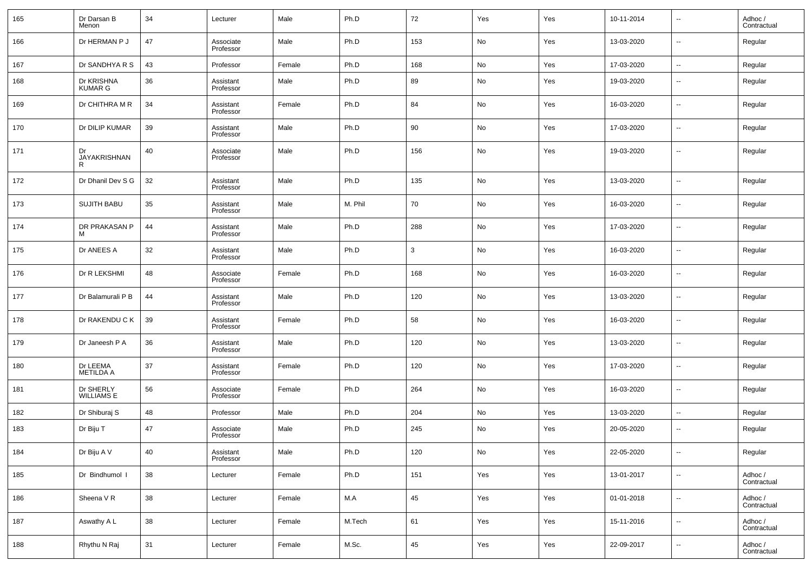| 165 | Dr Darsan B<br>Menon           | 34 | Lecturer               | Male   | Ph.D    | 72           | Yes | Yes | 10-11-2014 | $\overline{\phantom{a}}$ | Adhoc /<br>Contractual |
|-----|--------------------------------|----|------------------------|--------|---------|--------------|-----|-----|------------|--------------------------|------------------------|
| 166 | Dr HERMAN P J                  | 47 | Associate<br>Professor | Male   | Ph.D    | 153          | No  | Yes | 13-03-2020 | $\overline{\phantom{a}}$ | Regular                |
| 167 | Dr SANDHYA R S                 | 43 | Professor              | Female | Ph.D    | 168          | No  | Yes | 17-03-2020 | $\overline{\phantom{a}}$ | Regular                |
| 168 | Dr KRISHNA<br><b>KUMAR G</b>   | 36 | Assistant<br>Professor | Male   | Ph.D    | 89           | No  | Yes | 19-03-2020 | $\overline{\phantom{a}}$ | Regular                |
| 169 | Dr CHITHRA M R                 | 34 | Assistant<br>Professor | Female | Ph.D    | 84           | No  | Yes | 16-03-2020 | $\overline{\phantom{a}}$ | Regular                |
| 170 | Dr DILIP KUMAR                 | 39 | Assistant<br>Professor | Male   | Ph.D    | 90           | No  | Yes | 17-03-2020 | $\overline{\phantom{a}}$ | Regular                |
| 171 | Dr<br>JAYAKRISHNAN<br>R        | 40 | Associate<br>Professor | Male   | Ph.D    | 156          | No  | Yes | 19-03-2020 | $\overline{\phantom{a}}$ | Regular                |
| 172 | Dr Dhanil Dev S G              | 32 | Assistant<br>Professor | Male   | Ph.D    | 135          | No  | Yes | 13-03-2020 | $\overline{\phantom{a}}$ | Regular                |
| 173 | <b>SUJITH BABU</b>             | 35 | Assistant<br>Professor | Male   | M. Phil | 70           | No  | Yes | 16-03-2020 | $\overline{\phantom{a}}$ | Regular                |
| 174 | DR PRAKASAN P<br>м             | 44 | Assistant<br>Professor | Male   | Ph.D    | 288          | No  | Yes | 17-03-2020 | $\sim$                   | Regular                |
| 175 | Dr ANEES A                     | 32 | Assistant<br>Professor | Male   | Ph.D    | $\mathbf{3}$ | No  | Yes | 16-03-2020 | $\overline{\phantom{a}}$ | Regular                |
| 176 | Dr R LEKSHMI                   | 48 | Associate<br>Professor | Female | Ph.D    | 168          | No  | Yes | 16-03-2020 | $\overline{\phantom{a}}$ | Regular                |
| 177 | Dr Balamurali P B              | 44 | Assistant<br>Professor | Male   | Ph.D    | 120          | No  | Yes | 13-03-2020 | $\sim$                   | Regular                |
| 178 | Dr RAKENDU C K                 | 39 | Assistant<br>Professor | Female | Ph.D    | 58           | No  | Yes | 16-03-2020 | $\overline{\phantom{a}}$ | Regular                |
| 179 | Dr Janeesh P A                 | 36 | Assistant<br>Professor | Male   | Ph.D    | 120          | No  | Yes | 13-03-2020 | $\sim$                   | Regular                |
| 180 | Dr LEEMA<br><b>METILDA A</b>   | 37 | Assistant<br>Professor | Female | Ph.D    | 120          | No  | Yes | 17-03-2020 | $\sim$                   | Regular                |
| 181 | Dr SHERLY<br><b>WILLIAMS E</b> | 56 | Associate<br>Professor | Female | Ph.D    | 264          | No  | Yes | 16-03-2020 | $\sim$                   | Regular                |
| 182 | Dr Shiburaj S                  | 48 | Professor              | Male   | Ph.D    | 204          | No  | Yes | 13-03-2020 | $\overline{\phantom{a}}$ | Regular                |
| 183 | Dr Biju T                      | 47 | Associate<br>Professor | Male   | Ph.D    | 245          | No  | Yes | 20-05-2020 | $\overline{\phantom{a}}$ | Regular                |
| 184 | Dr Biju A V                    | 40 | Assistant<br>Professor | Male   | Ph.D    | 120          | No  | Yes | 22-05-2020 | ۰.                       | Regular                |
| 185 | Dr Bindhumol I                 | 38 | Lecturer               | Female | Ph.D    | 151          | Yes | Yes | 13-01-2017 | $\overline{\phantom{a}}$ | Adhoc /<br>Contractual |
| 186 | Sheena V R                     | 38 | Lecturer               | Female | M.A     | 45           | Yes | Yes | 01-01-2018 | $\overline{\phantom{a}}$ | Adhoc /<br>Contractual |
| 187 | Aswathy A L                    | 38 | Lecturer               | Female | M.Tech  | 61           | Yes | Yes | 15-11-2016 | $\overline{\phantom{a}}$ | Adhoc /<br>Contractual |
| 188 | Rhythu N Raj                   | 31 | Lecturer               | Female | M.Sc.   | 45           | Yes | Yes | 22-09-2017 | $\overline{\phantom{a}}$ | Adhoc /<br>Contractual |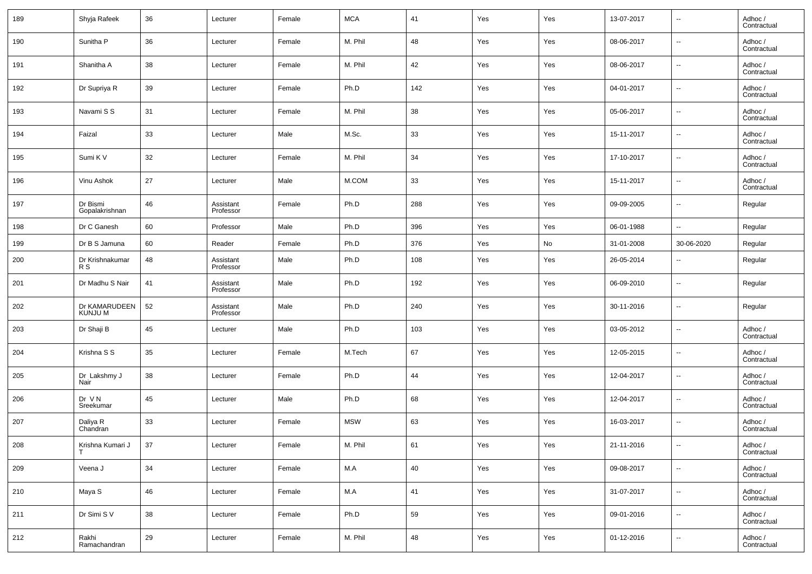| 189 | Shyja Rafeek                    | 36 | Lecturer               | Female | <b>MCA</b> | 41  | Yes | Yes | 13-07-2017 | $\overline{\phantom{a}}$ | Adhoc /<br>Contractual |
|-----|---------------------------------|----|------------------------|--------|------------|-----|-----|-----|------------|--------------------------|------------------------|
| 190 | Sunitha P                       | 36 | Lecturer               | Female | M. Phil    | 48  | Yes | Yes | 08-06-2017 | $\overline{\phantom{a}}$ | Adhoc /<br>Contractual |
| 191 | Shanitha A                      | 38 | Lecturer               | Female | M. Phil    | 42  | Yes | Yes | 08-06-2017 | $\overline{\phantom{a}}$ | Adhoc /<br>Contractual |
| 192 | Dr Supriya R                    | 39 | Lecturer               | Female | Ph.D       | 142 | Yes | Yes | 04-01-2017 | $\overline{\phantom{a}}$ | Adhoc /<br>Contractual |
| 193 | Navami S S                      | 31 | Lecturer               | Female | M. Phil    | 38  | Yes | Yes | 05-06-2017 | $\overline{\phantom{a}}$ | Adhoc /<br>Contractual |
| 194 | Faizal                          | 33 | Lecturer               | Male   | M.Sc.      | 33  | Yes | Yes | 15-11-2017 | $\overline{\phantom{a}}$ | Adhoc /<br>Contractual |
| 195 | Sumi K V                        | 32 | Lecturer               | Female | M. Phil    | 34  | Yes | Yes | 17-10-2017 | $\overline{\phantom{a}}$ | Adhoc /<br>Contractual |
| 196 | Vinu Ashok                      | 27 | Lecturer               | Male   | M.COM      | 33  | Yes | Yes | 15-11-2017 | $\overline{\phantom{a}}$ | Adhoc /<br>Contractual |
| 197 | Dr Bismi<br>Gopalakrishnan      | 46 | Assistant<br>Professor | Female | Ph.D       | 288 | Yes | Yes | 09-09-2005 | $\overline{\phantom{a}}$ | Regular                |
| 198 | Dr C Ganesh                     | 60 | Professor              | Male   | Ph.D       | 396 | Yes | Yes | 06-01-1988 | $\sim$                   | Regular                |
| 199 | Dr B S Jamuna                   | 60 | Reader                 | Female | Ph.D       | 376 | Yes | No  | 31-01-2008 | 30-06-2020               | Regular                |
| 200 | Dr Krishnakumar<br>R S          | 48 | Assistant<br>Professor | Male   | Ph.D       | 108 | Yes | Yes | 26-05-2014 | $\sim$                   | Regular                |
| 201 | Dr Madhu S Nair                 | 41 | Assistant<br>Professor | Male   | Ph.D       | 192 | Yes | Yes | 06-09-2010 | $\overline{\phantom{a}}$ | Regular                |
| 202 | Dr KAMARUDEEN<br><b>KUNJU M</b> | 52 | Assistant<br>Professor | Male   | Ph.D       | 240 | Yes | Yes | 30-11-2016 | $\overline{\phantom{a}}$ | Regular                |
| 203 | Dr Shaji B                      | 45 | Lecturer               | Male   | Ph.D       | 103 | Yes | Yes | 03-05-2012 | $\overline{\phantom{a}}$ | Adhoc /<br>Contractual |
| 204 | Krishna S S                     | 35 | Lecturer               | Female | M.Tech     | 67  | Yes | Yes | 12-05-2015 | $\overline{\phantom{a}}$ | Adhoc /<br>Contractual |
| 205 | Dr Lakshmy J<br>Nair            | 38 | Lecturer               | Female | Ph.D       | 44  | Yes | Yes | 12-04-2017 | $\sim$                   | Adhoc /<br>Contractual |
| 206 | Dr VN<br>Sreekumar              | 45 | Lecturer               | Male   | Ph.D       | 68  | Yes | Yes | 12-04-2017 | $\overline{\phantom{a}}$ | Adhoc /<br>Contractual |
| 207 | Daliya R<br>Chandran            | 33 | Lecturer               | Female | <b>MSW</b> | 63  | Yes | Yes | 16-03-2017 | $\overline{\phantom{a}}$ | Adhoc /<br>Contractual |
| 208 | Krishna Kumari J                | 37 | Lecturer               | Female | M. Phil    | 61  | Yes | Yes | 21-11-2016 | $\overline{\phantom{a}}$ | Adhoc /<br>Contractual |
| 209 | Veena J                         | 34 | Lecturer               | Female | M.A        | 40  | Yes | Yes | 09-08-2017 | $\overline{\phantom{a}}$ | Adhoc /<br>Contractual |
| 210 | Maya S                          | 46 | Lecturer               | Female | M.A        | 41  | Yes | Yes | 31-07-2017 | $\overline{\phantom{a}}$ | Adhoc /<br>Contractual |
| 211 | Dr Simi S V                     | 38 | Lecturer               | Female | Ph.D       | 59  | Yes | Yes | 09-01-2016 | $\overline{\phantom{a}}$ | Adhoc /<br>Contractual |
| 212 | Rakhi<br>Ramachandran           | 29 | Lecturer               | Female | M. Phil    | 48  | Yes | Yes | 01-12-2016 | $\overline{\phantom{a}}$ | Adhoc /<br>Contractual |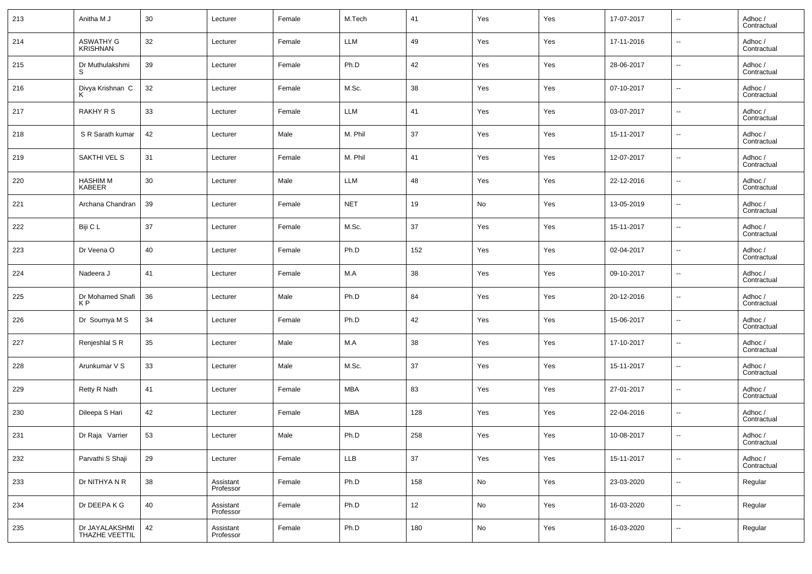| 213 | Anitha M J                          | 30 | Lecturer               | Female | M.Tech     | 41  | Yes | Yes | 17-07-2017 | $\overline{\phantom{a}}$ | Adhoc /<br>Contractual |
|-----|-------------------------------------|----|------------------------|--------|------------|-----|-----|-----|------------|--------------------------|------------------------|
| 214 | <b>ASWATHY G</b><br><b>KRISHNAN</b> | 32 | Lecturer               | Female | <b>LLM</b> | 49  | Yes | Yes | 17-11-2016 | $\overline{\phantom{a}}$ | Adhoc /<br>Contractual |
| 215 | Dr Muthulakshmi                     | 39 | Lecturer               | Female | Ph.D       | 42  | Yes | Yes | 28-06-2017 | $\overline{\phantom{a}}$ | Adhoc /<br>Contractual |
| 216 | Divya Krishnan C                    | 32 | Lecturer               | Female | M.Sc.      | 38  | Yes | Yes | 07-10-2017 | $\overline{\phantom{a}}$ | Adhoc /<br>Contractual |
| 217 | RAKHY R S                           | 33 | Lecturer               | Female | <b>LLM</b> | 41  | Yes | Yes | 03-07-2017 | $\overline{\phantom{a}}$ | Adhoc /<br>Contractual |
| 218 | S R Sarath kumar                    | 42 | Lecturer               | Male   | M. Phil    | 37  | Yes | Yes | 15-11-2017 | $\overline{\phantom{a}}$ | Adhoc /<br>Contractual |
| 219 | SAKTHI VEL S                        | 31 | Lecturer               | Female | M. Phil    | 41  | Yes | Yes | 12-07-2017 | $\overline{\phantom{a}}$ | Adhoc /<br>Contractual |
| 220 | <b>HASHIM M</b><br><b>KABEER</b>    | 30 | Lecturer               | Male   | <b>LLM</b> | 48  | Yes | Yes | 22-12-2016 | $\overline{\phantom{a}}$ | Adhoc /<br>Contractual |
| 221 | Archana Chandran                    | 39 | Lecturer               | Female | <b>NET</b> | 19  | No  | Yes | 13-05-2019 | $\overline{\phantom{a}}$ | Adhoc /<br>Contractual |
| 222 | Biji C L                            | 37 | Lecturer               | Female | M.Sc.      | 37  | Yes | Yes | 15-11-2017 | $\overline{\phantom{a}}$ | Adhoc /<br>Contractual |
| 223 | Dr Veena O                          | 40 | Lecturer               | Female | Ph.D       | 152 | Yes | Yes | 02-04-2017 | $\overline{\phantom{a}}$ | Adhoc /<br>Contractual |
| 224 | Nadeera J                           | 41 | Lecturer               | Female | M.A        | 38  | Yes | Yes | 09-10-2017 | $\overline{\phantom{a}}$ | Adhoc /<br>Contractual |
| 225 | Dr Mohamed Shafi<br>K P             | 36 | Lecturer               | Male   | Ph.D       | 84  | Yes | Yes | 20-12-2016 | $\overline{\phantom{a}}$ | Adhoc /<br>Contractual |
| 226 | Dr Soumya M S                       | 34 | Lecturer               | Female | Ph.D       | 42  | Yes | Yes | 15-06-2017 | $\overline{\phantom{a}}$ | Adhoc /<br>Contractual |
| 227 | Renjeshlal S R                      | 35 | Lecturer               | Male   | M.A        | 38  | Yes | Yes | 17-10-2017 | $\overline{\phantom{a}}$ | Adhoc /<br>Contractual |
| 228 | Arunkumar V S                       | 33 | Lecturer               | Male   | M.Sc.      | 37  | Yes | Yes | 15-11-2017 | $\overline{\phantom{a}}$ | Adhoc /<br>Contractual |
| 229 | Retty R Nath                        | 41 | Lecturer               | Female | <b>MBA</b> | 83  | Yes | Yes | 27-01-2017 | $\overline{\phantom{a}}$ | Adhoc /<br>Contractual |
| 230 | Dileepa S Hari                      | 42 | Lecturer               | Female | <b>MBA</b> | 128 | Yes | Yes | 22-04-2016 | $\overline{\phantom{a}}$ | Adhoc /<br>Contractual |
| 231 | Dr Raja Varrier                     | 53 | Lecturer               | Male   | Ph.D       | 258 | Yes | Yes | 10-08-2017 | $\sim$                   | Adhoc /<br>Contractual |
| 232 | Parvathi S Shaji                    | 29 | Lecturer               | Female | <b>LLB</b> | 37  | Yes | Yes | 15-11-2017 | $\sim$                   | Adhoc /<br>Contractual |
| 233 | Dr NITHYA N R                       | 38 | Assistant<br>Professor | Female | Ph.D       | 158 | No  | Yes | 23-03-2020 | $\overline{\phantom{a}}$ | Regular                |
| 234 | Dr DEEPA K G                        | 40 | Assistant<br>Professor | Female | Ph.D       | 12  | No  | Yes | 16-03-2020 | $\overline{\phantom{a}}$ | Regular                |
| 235 | Dr JAYALAKSHMI<br>THAZHE VEETTIL    | 42 | Assistant<br>Professor | Female | Ph.D       | 180 | No  | Yes | 16-03-2020 | $\overline{\phantom{a}}$ | Regular                |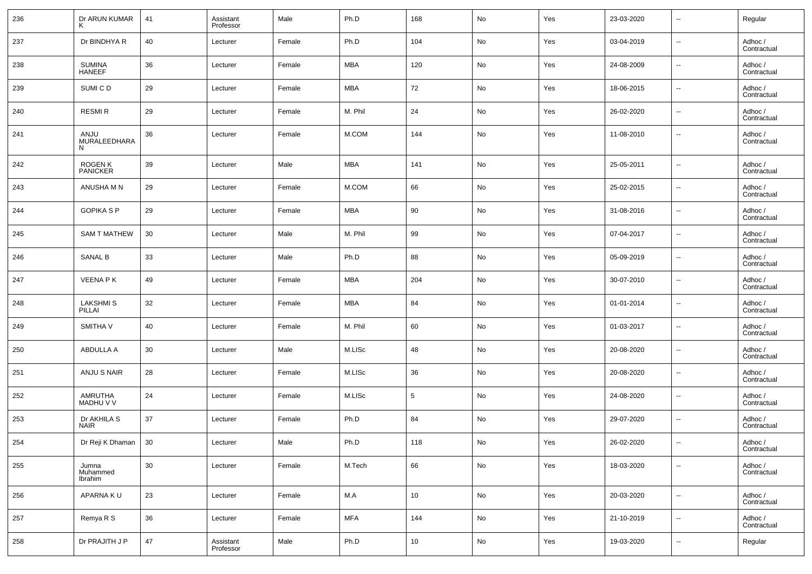| 236 | Dr ARUN KUMAR                    | 41     | Assistant<br>Professor | Male   | Ph.D       | 168    | No         | Yes | 23-03-2020 | $\overline{\phantom{a}}$ | Regular                |
|-----|----------------------------------|--------|------------------------|--------|------------|--------|------------|-----|------------|--------------------------|------------------------|
| 237 | Dr BINDHYA R                     | 40     | Lecturer               | Female | Ph.D       | 104    | No         | Yes | 03-04-2019 | $\overline{\phantom{a}}$ | Adhoc /<br>Contractual |
| 238 | SUMINA<br>HANEEF                 | 36     | Lecturer               | Female | MBA        | 120    | No         | Yes | 24-08-2009 | $\overline{\phantom{a}}$ | Adhoc /<br>Contractual |
| 239 | SUMI C D                         | 29     | Lecturer               | Female | MBA        | 72     | No         | Yes | 18-06-2015 | $\overline{\phantom{a}}$ | Adhoc /<br>Contractual |
| 240 | <b>RESMIR</b>                    | 29     | Lecturer               | Female | M. Phil    | 24     | No         | Yes | 26-02-2020 | $\overline{\phantom{a}}$ | Adhoc /<br>Contractual |
| 241 | ANJU<br><b>MURALEEDHARA</b><br>N | 36     | Lecturer               | Female | M.COM      | 144    | No         | Yes | 11-08-2010 | $\overline{\phantom{a}}$ | Adhoc /<br>Contractual |
| 242 | <b>ROGENK</b><br><b>PANICKER</b> | 39     | Lecturer               | Male   | <b>MBA</b> | 141    | No         | Yes | 25-05-2011 | $\sim$                   | Adhoc /<br>Contractual |
| 243 | ANUSHA M N                       | 29     | Lecturer               | Female | M.COM      | 66     | No         | Yes | 25-02-2015 | $\overline{\phantom{a}}$ | Adhoc /<br>Contractual |
| 244 | <b>GOPIKA S P</b>                | 29     | Lecturer               | Female | MBA        | 90     | No         | Yes | 31-08-2016 | $\overline{\phantom{a}}$ | Adhoc /<br>Contractual |
| 245 | <b>SAM T MATHEW</b>              | 30     | Lecturer               | Male   | M. Phil    | 99     | No         | Yes | 07-04-2017 | $\overline{\phantom{a}}$ | Adhoc /<br>Contractual |
| 246 | <b>SANAL B</b>                   | 33     | Lecturer               | Male   | Ph.D       | 88     | No         | Yes | 05-09-2019 | $\overline{\phantom{a}}$ | Adhoc /<br>Contractual |
| 247 | <b>VEENA PK</b>                  | 49     | Lecturer               | Female | MBA        | 204    | No         | Yes | 30-07-2010 | $\overline{\phantom{a}}$ | Adhoc /<br>Contractual |
| 248 | <b>LAKSHMIS</b><br>PILLAI        | 32     | Lecturer               | Female | MBA        | 84     | No         | Yes | 01-01-2014 | --                       | Adhoc /<br>Contractual |
| 249 | SMITHA V                         | 40     | Lecturer               | Female | M. Phil    | 60     | No         | Yes | 01-03-2017 | $\overline{\phantom{a}}$ | Adhoc /<br>Contractual |
| 250 | ABDULLA A                        | 30     | Lecturer               | Male   | M.LISc     | 48     | No         | Yes | 20-08-2020 | $\overline{\phantom{a}}$ | Adhoc /<br>Contractual |
| 251 | ANJU S NAIR                      | 28     | Lecturer               | Female | M.LISc     | 36     | No         | Yes | 20-08-2020 | $\sim$                   | Adhoc /<br>Contractual |
| 252 | AMRUTHA<br>MADHU V V             | 24     | Lecturer               | Female | M.LISc     | 5      | No         | Yes | 24-08-2020 | $\overline{\phantom{a}}$ | Adhoc /<br>Contractual |
| 253 | Dr AKHILA S<br><b>NAIR</b>       | 37     | Lecturer               | Female | Ph.D       | 84     | No         | Yes | 29-07-2020 | $\overline{\phantom{a}}$ | Adhoc /<br>Contractual |
| 254 | Dr Reji K Dhaman   30            |        | Lecturer               | Male   | Ph.D       | 118    | No         | Yes | 26-02-2020 |                          | Adhoc /<br>Contractual |
| 255 | Jumna<br>Muhammed<br>Ibrahim     | 30     | Lecturer               | Female | M.Tech     | 66     | ${\sf No}$ | Yes | 18-03-2020 | $\overline{\phantom{a}}$ | Adhoc /<br>Contractual |
| 256 | APARNA KU                        | 23     | Lecturer               | Female | M.A        | 10     | No         | Yes | 20-03-2020 | $\overline{\phantom{a}}$ | Adhoc /<br>Contractual |
| 257 | Remya R S                        | 36     | Lecturer               | Female | <b>MFA</b> | 144    | No         | Yes | 21-10-2019 | $\overline{\phantom{a}}$ | Adhoc /<br>Contractual |
| 258 | Dr PRAJITH J P                   | $47\,$ | Assistant<br>Professor | Male   | Ph.D       | $10\,$ | No         | Yes | 19-03-2020 | $\overline{\phantom{a}}$ | Regular                |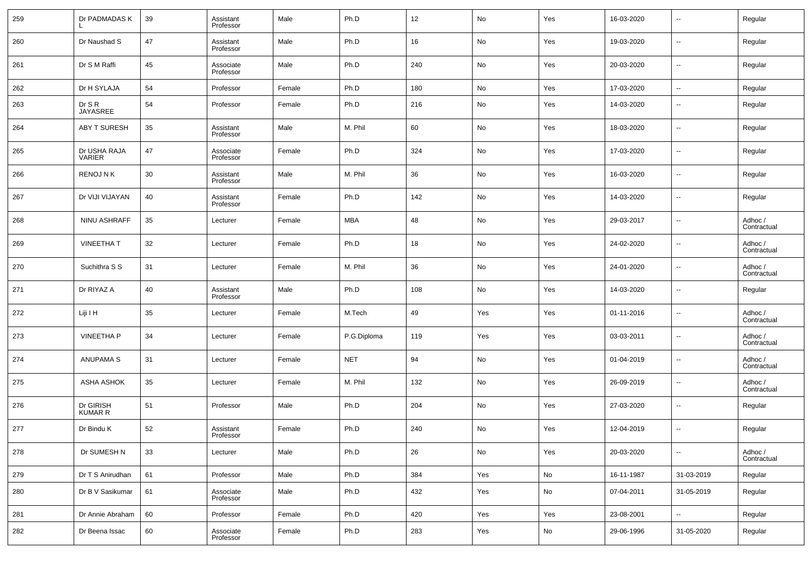| 259 | Dr PADMADAS K                 | 39 | Assistant<br>Professor | Male   | Ph.D        | 12  | No  | Yes | 16-03-2020 | $\overline{\phantom{a}}$ | Regular                |
|-----|-------------------------------|----|------------------------|--------|-------------|-----|-----|-----|------------|--------------------------|------------------------|
| 260 | Dr Naushad S                  | 47 | Assistant<br>Professor | Male   | Ph.D        | 16  | No  | Yes | 19-03-2020 | $\overline{\phantom{a}}$ | Regular                |
| 261 | Dr S M Raffi                  | 45 | Associate<br>Professor | Male   | Ph.D        | 240 | No  | Yes | 20-03-2020 | $\overline{\phantom{a}}$ | Regular                |
| 262 | Dr H SYLAJA                   | 54 | Professor              | Female | Ph.D        | 180 | No  | Yes | 17-03-2020 | $\overline{\phantom{a}}$ | Regular                |
| 263 | Dr S R<br>JAYASREE            | 54 | Professor              | Female | Ph.D        | 216 | No  | Yes | 14-03-2020 | $\overline{\phantom{a}}$ | Regular                |
| 264 | <b>ABY T SURESH</b>           | 35 | Assistant<br>Professor | Male   | M. Phil     | 60  | No  | Yes | 18-03-2020 | $\overline{\phantom{a}}$ | Regular                |
| 265 | Dr USHA RAJA<br><b>VARIER</b> | 47 | Associate<br>Professor | Female | Ph.D        | 324 | No  | Yes | 17-03-2020 | $\overline{\phantom{a}}$ | Regular                |
| 266 | <b>RENOJ N K</b>              | 30 | Assistant<br>Professor | Male   | M. Phil     | 36  | No  | Yes | 16-03-2020 | $\overline{\phantom{a}}$ | Regular                |
| 267 | Dr VIJI VIJAYAN               | 40 | Assistant<br>Professor | Female | Ph.D        | 142 | No  | Yes | 14-03-2020 | $\overline{\phantom{a}}$ | Regular                |
| 268 | NINU ASHRAFF                  | 35 | Lecturer               | Female | <b>MBA</b>  | 48  | No  | Yes | 29-03-2017 | $\overline{\phantom{a}}$ | Adhoc /<br>Contractual |
| 269 | <b>VINEETHAT</b>              | 32 | Lecturer               | Female | Ph.D        | 18  | No  | Yes | 24-02-2020 | $\overline{\phantom{a}}$ | Adhoc /<br>Contractual |
| 270 | Suchithra S S                 | 31 | Lecturer               | Female | M. Phil     | 36  | No  | Yes | 24-01-2020 | $\overline{\phantom{a}}$ | Adhoc /<br>Contractual |
| 271 | Dr RIYAZ A                    | 40 | Assistant<br>Professor | Male   | Ph.D        | 108 | No  | Yes | 14-03-2020 | $\overline{\phantom{a}}$ | Regular                |
| 272 | Liji I H                      | 35 | Lecturer               | Female | M.Tech      | 49  | Yes | Yes | 01-11-2016 | $\overline{\phantom{a}}$ | Adhoc /<br>Contractual |
| 273 | <b>VINEETHA P</b>             | 34 | Lecturer               | Female | P.G.Diploma | 119 | Yes | Yes | 03-03-2011 | $\overline{\phantom{a}}$ | Adhoc /<br>Contractual |
| 274 | <b>ANUPAMA S</b>              | 31 | Lecturer               | Female | <b>NET</b>  | 94  | No  | Yes | 01-04-2019 | $\overline{\phantom{a}}$ | Adhoc /<br>Contractual |
| 275 | <b>ASHA ASHOK</b>             | 35 | Lecturer               | Female | M. Phil     | 132 | No  | Yes | 26-09-2019 | $\overline{\phantom{a}}$ | Adhoc /<br>Contractual |
| 276 | Dr GIRISH<br><b>KUMAR R</b>   | 51 | Professor              | Male   | Ph.D        | 204 | No  | Yes | 27-03-2020 | $\overline{\phantom{a}}$ | Regular                |
| 277 | Dr Bindu K                    | 52 | Assistant<br>Professor | Female | Ph.D        | 240 | No  | Yes | 12-04-2019 | $\overline{\phantom{a}}$ | Regular                |
| 278 | Dr SUMESH N                   | 33 | Lecturer               | Male   | Ph.D        | 26  | No  | Yes | 20-03-2020 | $\overline{\phantom{a}}$ | Adhoc /<br>Contractual |
| 279 | Dr T S Anirudhan              | 61 | Professor              | Male   | Ph.D        | 384 | Yes | No  | 16-11-1987 | 31-03-2019               | Regular                |
| 280 | Dr B V Sasikumar              | 61 | Associate<br>Professor | Male   | Ph.D        | 432 | Yes | No  | 07-04-2011 | 31-05-2019               | Regular                |
| 281 | Dr Annie Abraham              | 60 | Professor              | Female | Ph.D        | 420 | Yes | Yes | 23-08-2001 | $\overline{\phantom{a}}$ | Regular                |
| 282 | Dr Beena Issac                | 60 | Associate<br>Professor | Female | Ph.D        | 283 | Yes | No  | 29-06-1996 | 31-05-2020               | Regular                |